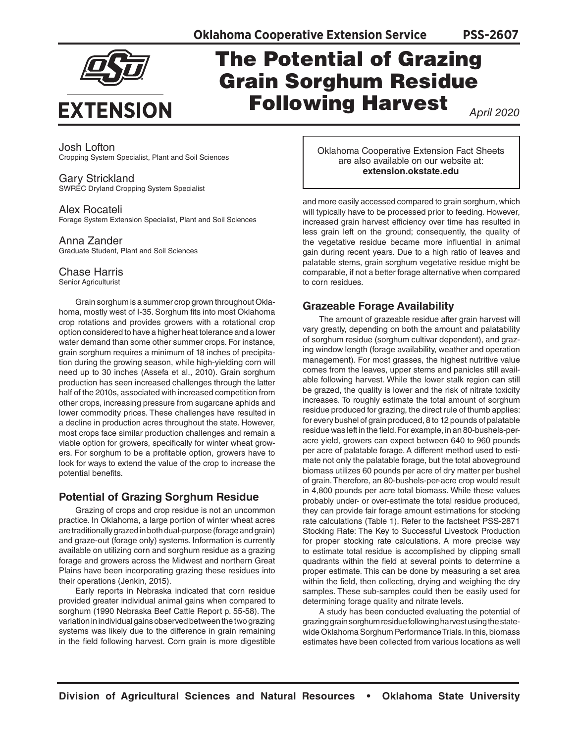

# The Potential of Grazing Grain Sorghum Residue Following Harvest

*April 2020*

**PSS-2607**

Josh Lofton Cropping System Specialist, Plant and Soil Sciences

#### Gary Strickland SWREC Dryland Cropping System Specialist

#### Alex Rocateli

Forage System Extension Specialist, Plant and Soil Sciences

## Anna Zander

Graduate Student, Plant and Soil Sciences

## Chase Harris

Senior Agriculturist

Grain sorghum is a summer crop grown throughout Oklahoma, mostly west of I-35. Sorghum fits into most Oklahoma crop rotations and provides growers with a rotational crop option considered to have a higher heat tolerance and a lower water demand than some other summer crops. For instance, grain sorghum requires a minimum of 18 inches of precipitation during the growing season, while high-yielding corn will need up to 30 inches (Assefa et al., 2010). Grain sorghum production has seen increased challenges through the latter half of the 2010s, associated with increased competition from other crops, increasing pressure from sugarcane aphids and lower commodity prices. These challenges have resulted in a decline in production acres throughout the state. However, most crops face similar production challenges and remain a viable option for growers, specifically for winter wheat growers. For sorghum to be a profitable option, growers have to look for ways to extend the value of the crop to increase the potential benefits.

# **Potential of Grazing Sorghum Residue**

Grazing of crops and crop residue is not an uncommon practice. In Oklahoma, a large portion of winter wheat acres are traditionally grazed in both dual-purpose (forage and grain) and graze-out (forage only) systems. Information is currently available on utilizing corn and sorghum residue as a grazing forage and growers across the Midwest and northern Great Plains have been incorporating grazing these residues into their operations (Jenkin, 2015).

Early reports in Nebraska indicated that corn residue provided greater individual animal gains when compared to sorghum (1990 Nebraska Beef Cattle Report p. 55-58). The variation in individual gains observed between the two grazing systems was likely due to the difference in grain remaining in the field following harvest. Corn grain is more digestible

Oklahoma Cooperative Extension Fact Sheets are also available on our website at: **extension.okstate.edu**

and more easily accessed compared to grain sorghum, which will typically have to be processed prior to feeding. However, increased grain harvest efficiency over time has resulted in less grain left on the ground; consequently, the quality of the vegetative residue became more influential in animal gain during recent years. Due to a high ratio of leaves and palatable stems, grain sorghum vegetative residue might be comparable, if not a better forage alternative when compared to corn residues.

# **Grazeable Forage Availability**

The amount of grazeable residue after grain harvest will vary greatly, depending on both the amount and palatability of sorghum residue (sorghum cultivar dependent), and grazing window length (forage availability, weather and operation management). For most grasses, the highest nutritive value comes from the leaves, upper stems and panicles still available following harvest. While the lower stalk region can still be grazed, the quality is lower and the risk of nitrate toxicity increases. To roughly estimate the total amount of sorghum residue produced for grazing, the direct rule of thumb applies: for every bushel of grain produced, 8 to 12 pounds of palatable residue was left in the field. For example, in an 80-bushels-peracre yield, growers can expect between 640 to 960 pounds per acre of palatable forage. A different method used to estimate not only the palatable forage, but the total aboveground biomass utilizes 60 pounds per acre of dry matter per bushel of grain. Therefore, an 80-bushels-per-acre crop would result in 4,800 pounds per acre total biomass. While these values probably under- or over-estimate the total residue produced, they can provide fair forage amount estimations for stocking rate calculations (Table 1). Refer to the factsheet PSS-2871 Stocking Rate: The Key to Successful Livestock Production for proper stocking rate calculations. A more precise way to estimate total residue is accomplished by clipping small quadrants within the field at several points to determine a proper estimate. This can be done by measuring a set area within the field, then collecting, drying and weighing the dry samples. These sub-samples could then be easily used for determining forage quality and nitrate levels.

A study has been conducted evaluating the potential of grazing grain sorghum residue following harvest using the statewide Oklahoma Sorghum Performance Trials. In this, biomass estimates have been collected from various locations as well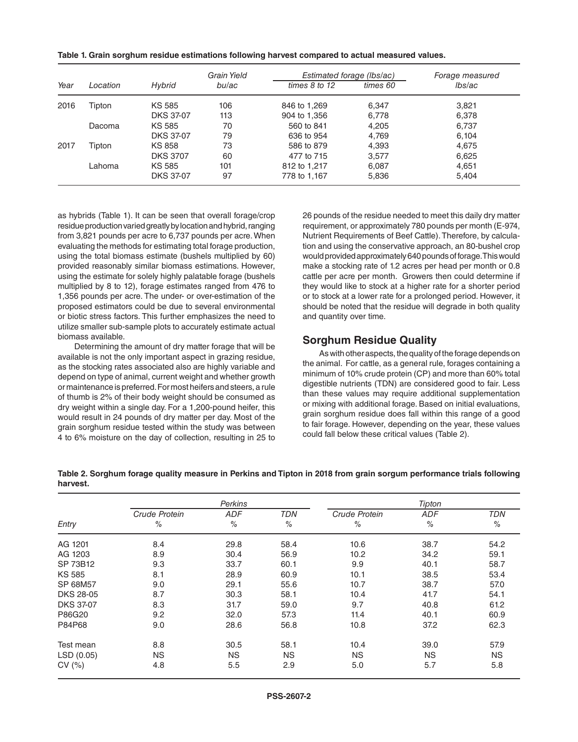| Table 1. Grain sorghum residue estimations following harvest compared to actual measured values. |  |
|--------------------------------------------------------------------------------------------------|--|
|--------------------------------------------------------------------------------------------------|--|

|      |          |                  | Grain Yield<br>bu/ac |                   | Estimated forage (Ibs/ac) |        |
|------|----------|------------------|----------------------|-------------------|---------------------------|--------|
| Year | Location | Hybrid           |                      | times $8$ to $12$ | times 60                  | lbs/ac |
| 2016 | Tipton   | KS 585           | 106                  | 846 to 1,269      | 6,347                     | 3,821  |
|      |          | <b>DKS 37-07</b> | 113                  | 904 to 1,356      | 6,778                     | 6,378  |
|      | Dacoma   | KS 585           | 70                   | 560 to 841        | 4,205                     | 6,737  |
|      |          | <b>DKS 37-07</b> | 79                   | 636 to 954        | 4.769                     | 6,104  |
| 2017 | Tipton   | <b>KS 858</b>    | 73                   | 586 to 879        | 4,393                     | 4,675  |
|      |          | <b>DKS 3707</b>  | 60                   | 477 to 715        | 3,577                     | 6,625  |
|      | Lahoma   | <b>KS 585</b>    | 101                  | 812 to 1,217      | 6,087                     | 4,651  |
|      |          | <b>DKS 37-07</b> | 97                   | 778 to 1.167      | 5,836                     | 5,404  |

as hybrids (Table 1). It can be seen that overall forage/crop residue production varied greatly by location and hybrid, ranging from 3,821 pounds per acre to 6,737 pounds per acre. When evaluating the methods for estimating total forage production, using the total biomass estimate (bushels multiplied by 60) provided reasonably similar biomass estimations. However, using the estimate for solely highly palatable forage (bushels multiplied by 8 to 12), forage estimates ranged from 476 to 1,356 pounds per acre. The under- or over-estimation of the proposed estimators could be due to several environmental or biotic stress factors. This further emphasizes the need to utilize smaller sub-sample plots to accurately estimate actual biomass available.

Determining the amount of dry matter forage that will be available is not the only important aspect in grazing residue, as the stocking rates associated also are highly variable and depend on type of animal, current weight and whether growth or maintenance is preferred. For most heifers and steers, a rule of thumb is 2% of their body weight should be consumed as dry weight within a single day. For a 1,200-pound heifer, this would result in 24 pounds of dry matter per day. Most of the grain sorghum residue tested within the study was between 4 to 6% moisture on the day of collection, resulting in 25 to

26 pounds of the residue needed to meet this daily dry matter requirement, or approximately 780 pounds per month (E-974, Nutrient Requirements of Beef Cattle). Therefore, by calculation and using the conservative approach, an 80-bushel crop would provided approximately 640 pounds of forage. This would make a stocking rate of 1.2 acres per head per month or 0.8 cattle per acre per month. Growers then could determine if they would like to stock at a higher rate for a shorter period or to stock at a lower rate for a prolonged period. However, it should be noted that the residue will degrade in both quality and quantity over time.

#### **Sorghum Residue Quality**

As with other aspects, the quality of the forage depends on the animal. For cattle, as a general rule, forages containing a minimum of 10% crude protein (CP) and more than 60% total digestible nutrients (TDN) are considered good to fair. Less than these values may require additional supplementation or mixing with additional forage. Based on initial evaluations, grain sorghum residue does fall within this range of a good to fair forage. However, depending on the year, these values could fall below these critical values (Table 2).

|                  | Perkins              |            |               | Tipton        |               |               |  |
|------------------|----------------------|------------|---------------|---------------|---------------|---------------|--|
|                  | <b>Crude Protein</b> | <b>ADF</b> | <b>TDN</b>    | Crude Protein | <b>ADF</b>    | <b>TDN</b>    |  |
| Entry            | $\%$                 | $\%$       | $\frac{1}{2}$ | $\%$          | $\frac{0}{0}$ | $\frac{0}{0}$ |  |
| AG 1201          | 8.4                  | 29.8       | 58.4          | 10.6          | 38.7          | 54.2          |  |
| AG 1203          | 8.9                  | 30.4       | 56.9          | 10.2          | 34.2          | 59.1          |  |
| SP 73B12         | 9.3                  | 33.7       | 60.1          | 9.9           | 40.1          | 58.7          |  |
| <b>KS 585</b>    | 8.1                  | 28.9       | 60.9          | 10.1          | 38.5          | 53.4          |  |
| SP 68M57         | 9.0                  | 29.1       | 55.6          | 10.7          | 38.7          | 57.0          |  |
| DKS 28-05        | 8.7                  | 30.3       | 58.1          | 10.4          | 41.7          | 54.1          |  |
| <b>DKS 37-07</b> | 8.3                  | 31.7       | 59.0          | 9.7           | 40.8          | 61.2          |  |
| P86G20           | 9.2                  | 32.0       | 57.3          | 11.4          | 40.1          | 60.9          |  |
| P84P68           | 9.0                  | 28.6       | 56.8          | 10.8          | 37.2          | 62.3          |  |
| Test mean        | 8.8                  | 30.5       | 58.1          | 10.4          | 39.0          | 57.9          |  |
| LSD (0.05)       | <b>NS</b>            | <b>NS</b>  | <b>NS</b>     | <b>NS</b>     | <b>NS</b>     | <b>NS</b>     |  |
| CV(%)            | 4.8                  | 5.5        | 2.9           | 5.0           | 5.7           | 5.8           |  |

**Table 2. Sorghum forage quality measure in Perkins and Tipton in 2018 from grain sorgum performance trials following harvest.**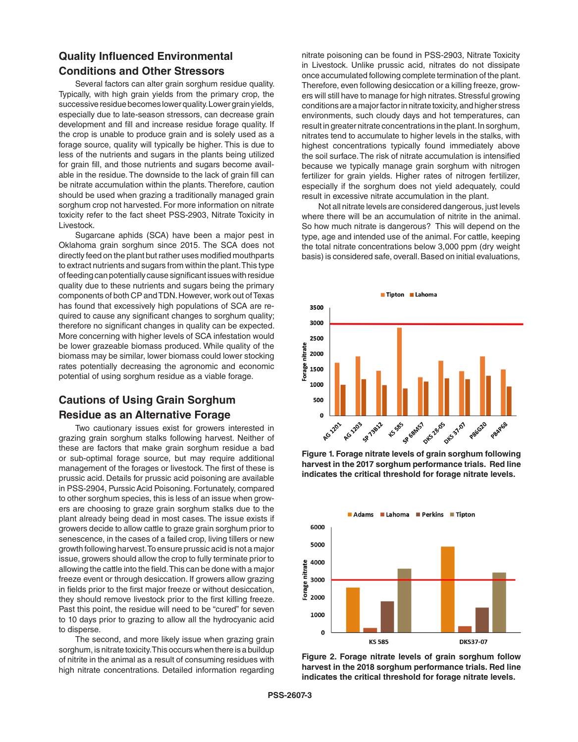# **Quality Influenced Environmental Conditions and Other Stressors**

Several factors can alter grain sorghum residue quality. Typically, with high grain yields from the primary crop, the successive residue becomes lower quality. Lower grain yields, especially due to late-season stressors, can decrease grain development and fill and increase residue forage quality. If the crop is unable to produce grain and is solely used as a forage source, quality will typically be higher. This is due to less of the nutrients and sugars in the plants being utilized for grain fill, and those nutrients and sugars become available in the residue. The downside to the lack of grain fill can be nitrate accumulation within the plants. Therefore, caution should be used when grazing a traditionally managed grain sorghum crop not harvested. For more information on nitrate toxicity refer to the fact sheet PSS-2903, Nitrate Toxicity in Livestock.

Sugarcane aphids (SCA) have been a major pest in Oklahoma grain sorghum since 2015. The SCA does not directly feed on the plant but rather uses modified mouthparts to extract nutrients and sugars from within the plant. This type of feeding can potentially cause significant issues with residue quality due to these nutrients and sugars being the primary components of both CP and TDN. However, work out of Texas has found that excessively high populations of SCA are required to cause any significant changes to sorghum quality; therefore no significant changes in quality can be expected. More concerning with higher levels of SCA infestation would be lower grazeable biomass produced. While quality of the biomass may be similar, lower biomass could lower stocking rates potentially decreasing the agronomic and economic potential of using sorghum residue as a viable forage.

# **Cautions of Using Grain Sorghum Residue as an Alternative Forage**

Two cautionary issues exist for growers interested in grazing grain sorghum stalks following harvest. Neither of these are factors that make grain sorghum residue a bad or sub-optimal forage source, but may require additional management of the forages or livestock. The first of these is prussic acid. Details for prussic acid poisoning are available in PSS-2904, Purssic Acid Poisoning. Fortunately, compared to other sorghum species, this is less of an issue when growers are choosing to graze grain sorghum stalks due to the plant already being dead in most cases. The issue exists if growers decide to allow cattle to graze grain sorghum prior to senescence, in the cases of a failed crop, living tillers or new growth following harvest. To ensure prussic acid is not a major issue, growers should allow the crop to fully terminate prior to allowing the cattle into the field. This can be done with a major freeze event or through desiccation. If growers allow grazing in fields prior to the first major freeze or without desiccation, they should remove livestock prior to the first killing freeze. Past this point, the residue will need to be "cured" for seven to 10 days prior to grazing to allow all the hydrocyanic acid to disperse.

The second, and more likely issue when grazing grain sorghum, is nitrate toxicity. This occurs when there is a buildup of nitrite in the animal as a result of consuming residues with high nitrate concentrations. Detailed information regarding

nitrate poisoning can be found in PSS-2903, Nitrate Toxicity in Livestock. Unlike prussic acid, nitrates do not dissipate once accumulated following complete termination of the plant. Therefore, even following desiccation or a killing freeze, growers will still have to manage for high nitrates. Stressful growing conditions are a major factor in nitrate toxicity, and higher stress environments, such cloudy days and hot temperatures, can result in greater nitrate concentrations in the plant. In sorghum, nitrates tend to accumulate to higher levels in the stalks, with highest concentrations typically found immediately above the soil surface. The risk of nitrate accumulation is intensified because we typically manage grain sorghum with nitrogen fertilizer for grain yields. Higher rates of nitrogen fertilizer, especially if the sorghum does not yield adequately, could result in excessive nitrate accumulation in the plant.

Not all nitrate levels are considered dangerous, just levels where there will be an accumulation of nitrite in the animal. So how much nitrate is dangerous? This will depend on the type, age and intended use of the animal. For cattle, keeping the total nitrate concentrations below 3,000 ppm (dry weight basis) is considered safe, overall. Based on initial evaluations,



**Figure 1. Forage nitrate levels of grain sorghum following harvest in the 2017 sorghum performance trials. Red line indicates the critical threshold for forage nitrate levels.**



**Figure 2. Forage nitrate levels of grain sorghum follow harvest in the 2018 sorghum performance trials. Red line indicates the critical threshold for forage nitrate levels.**